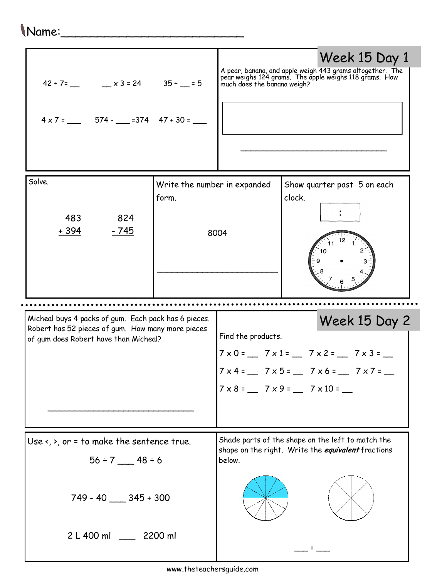## Name:\_\_\_\_\_\_\_\_\_\_\_\_\_\_\_\_\_\_\_\_\_\_\_\_\_

| $42 \div 7 =$ $x3 = 24$ $35 \div 5 = 5$<br>$4 \times 7 =$ 574 - $=$ 374 47 + 30 = $\frac{1}{2}$                                                    |                                       |                    | Week 15 Day 1<br>A pear, banana, and apple weigh 443 grams altogether. The<br>pear weighs 124 grams. The apple weighs 118 grams. How<br>much does the banana weigh?                 |
|----------------------------------------------------------------------------------------------------------------------------------------------------|---------------------------------------|--------------------|-------------------------------------------------------------------------------------------------------------------------------------------------------------------------------------|
| Solve.<br>824<br>483<br>$-745$<br>+ 394                                                                                                            | Write the number in expanded<br>form. | 8004               | Show quarter past 5 on each<br>clock.                                                                                                                                               |
| Micheal buys 4 packs of gum. Each pack has 6 pieces.<br>Robert has 52 pieces of gum. How many more pieces<br>of gum does Robert have than Micheal? |                                       |                    | Week 15 Day 2                                                                                                                                                                       |
|                                                                                                                                                    |                                       | Find the products. | $7 \times 0 =$ 7 $\times 1 =$ 7 $\times 2 =$ 7 $\times 3 =$ $-$<br>$7 \times 4 =$ 7 $\times 5 =$ 7 $\times 6 =$ 7 $\times 7 =$ -<br>$7 \times 8 =$ 7 $\times 9 =$ 7 $\times 10 =$ - |
| Use $\langle$ , $\rangle$ , or = to make the sentence true.<br>$56 \div 7$ 48 ÷ 6<br>$749 - 40$ ____ 345 + 300                                     |                                       | below.             | Shade parts of the shape on the left to match the<br>shape on the right. Write the equivalent fractions                                                                             |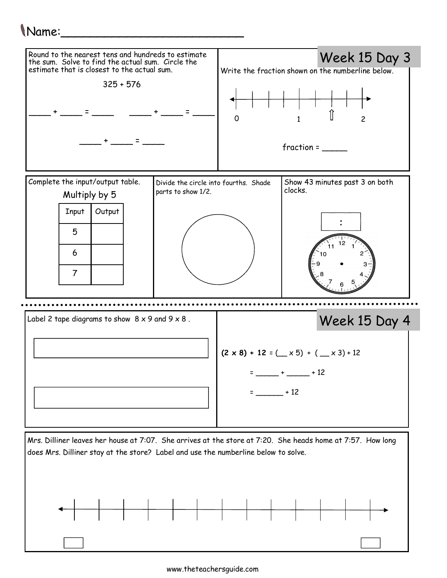## Name:\_\_\_\_\_\_\_\_\_\_\_\_\_\_\_\_\_\_\_\_\_\_\_\_\_